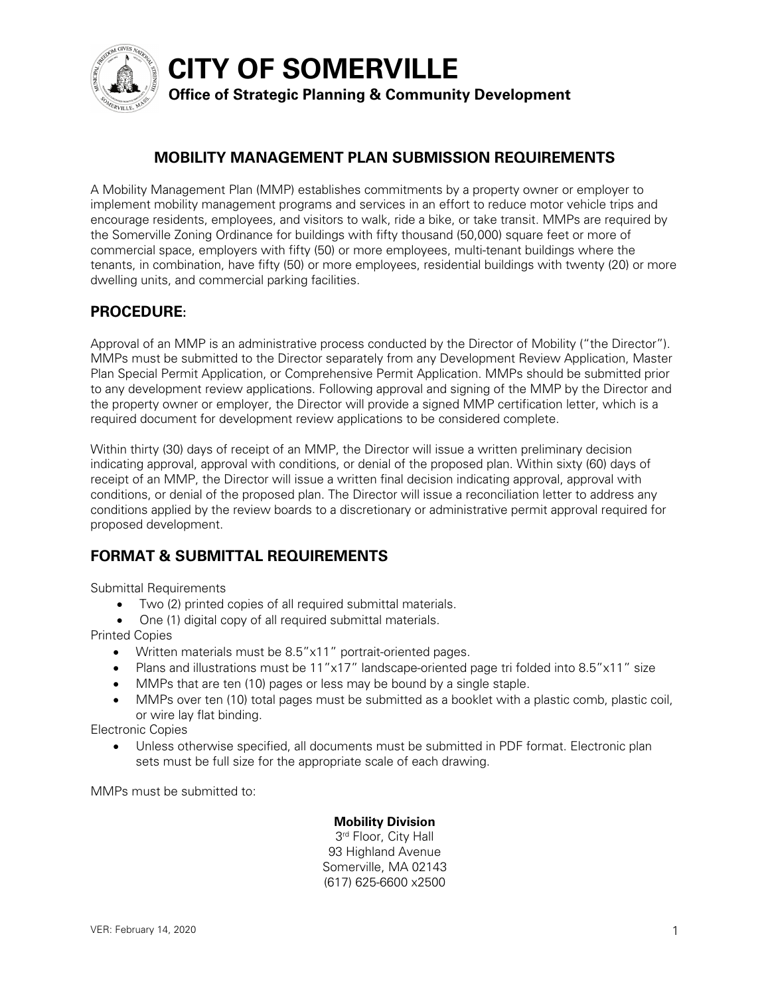

**CITY OF SOMERVILLE**

# **Office of Strategic Planning & Community Development**

# **MOBILITY MANAGEMENT PLAN SUBMISSION REQUIREMENTS**

A Mobility Management Plan (MMP) establishes commitments by a property owner or employer to implement mobility management programs and services in an effort to reduce motor vehicle trips and encourage residents, employees, and visitors to walk, ride a bike, or take transit. MMPs are required by the Somerville Zoning Ordinance for buildings with fifty thousand (50,000) square feet or more of commercial space, employers with fifty (50) or more employees, multi-tenant buildings where the tenants, in combination, have fifty (50) or more employees, residential buildings with twenty (20) or more dwelling units, and commercial parking facilities.

## **PROCEDURE:**

Approval of an MMP is an administrative process conducted by the Director of Mobility ("the Director"). MMPs must be submitted to the Director separately from any Development Review Application, Master Plan Special Permit Application, or Comprehensive Permit Application. MMPs should be submitted prior to any development review applications. Following approval and signing of the MMP by the Director and the property owner or employer, the Director will provide a signed MMP certification letter, which is a required document for development review applications to be considered complete.

Within thirty (30) days of receipt of an MMP, the Director will issue a written preliminary decision indicating approval, approval with conditions, or denial of the proposed plan. Within sixty (60) days of receipt of an MMP, the Director will issue a written final decision indicating approval, approval with conditions, or denial of the proposed plan. The Director will issue a reconciliation letter to address any conditions applied by the review boards to a discretionary or administrative permit approval required for proposed development.

# **FORMAT & SUBMITTAL REQUIREMENTS**

Submittal Requirements

- Two (2) printed copies of all required submittal materials.
- One (1) digital copy of all required submittal materials.

Printed Copies

- Written materials must be 8.5"x11" portrait-oriented pages.
- Plans and illustrations must be 11"x17" landscape-oriented page tri folded into 8.5"x11" size
- MMPs that are ten (10) pages or less may be bound by a single staple.
- MMPs over ten (10) total pages must be submitted as a booklet with a plastic comb, plastic coil, or wire lay flat binding.

Electronic Copies

• Unless otherwise specified, all documents must be submitted in PDF format. Electronic plan sets must be full size for the appropriate scale of each drawing.

MMPs must be submitted to:

### **Mobility Division**

3rd Floor, City Hall 93 Highland Avenue Somerville, MA 02143 (617) 625-6600 x2500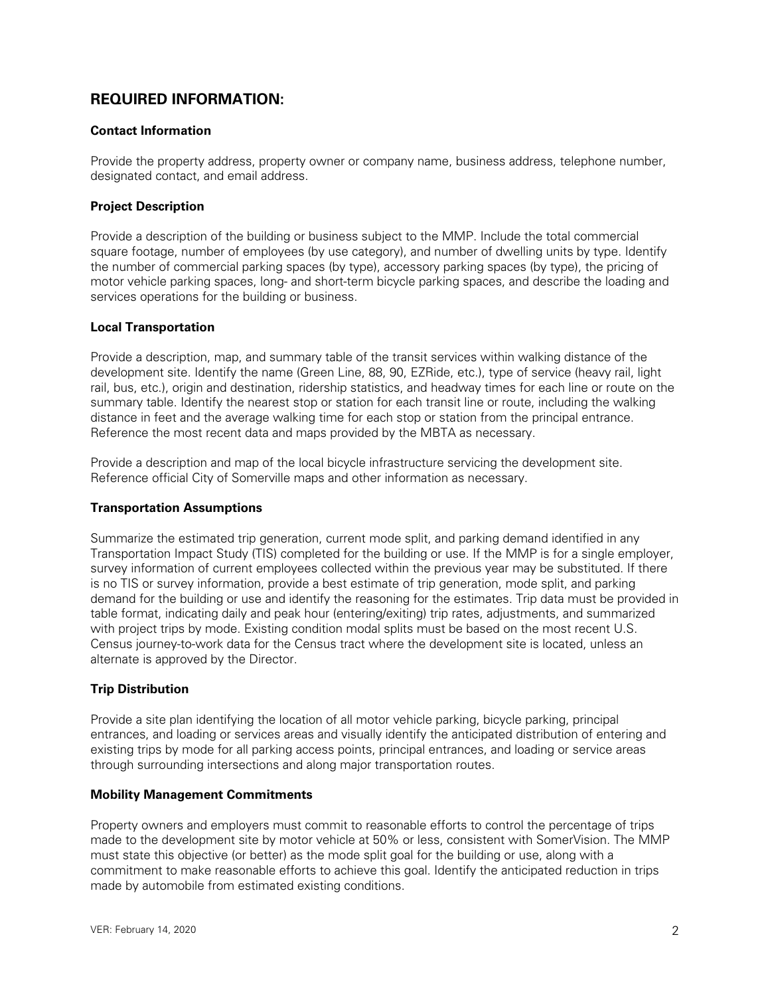### **REQUIRED INFORMATION:**

#### **Contact Information**

Provide the property address, property owner or company name, business address, telephone number, designated contact, and email address.

#### **Project Description**

Provide a description of the building or business subject to the MMP. Include the total commercial square footage, number of employees (by use category), and number of dwelling units by type. Identify the number of commercial parking spaces (by type), accessory parking spaces (by type), the pricing of motor vehicle parking spaces, long- and short-term bicycle parking spaces, and describe the loading and services operations for the building or business.

#### **Local Transportation**

Provide a description, map, and summary table of the transit services within walking distance of the development site. Identify the name (Green Line, 88, 90, EZRide, etc.), type of service (heavy rail, light rail, bus, etc.), origin and destination, ridership statistics, and headway times for each line or route on the summary table. Identify the nearest stop or station for each transit line or route, including the walking distance in feet and the average walking time for each stop or station from the principal entrance. Reference the most recent data and maps provided by the MBTA as necessary.

Provide a description and map of the local bicycle infrastructure servicing the development site. Reference official City of Somerville maps and other information as necessary.

### **Transportation Assumptions**

Summarize the estimated trip generation, current mode split, and parking demand identified in any Transportation Impact Study (TIS) completed for the building or use. If the MMP is for a single employer, survey information of current employees collected within the previous year may be substituted. If there is no TIS or survey information, provide a best estimate of trip generation, mode split, and parking demand for the building or use and identify the reasoning for the estimates. Trip data must be provided in table format, indicating daily and peak hour (entering/exiting) trip rates, adjustments, and summarized with project trips by mode. Existing condition modal splits must be based on the most recent U.S. Census journey-to-work data for the Census tract where the development site is located, unless an alternate is approved by the Director.

### **Trip Distribution**

Provide a site plan identifying the location of all motor vehicle parking, bicycle parking, principal entrances, and loading or services areas and visually identify the anticipated distribution of entering and existing trips by mode for all parking access points, principal entrances, and loading or service areas through surrounding intersections and along major transportation routes.

#### **Mobility Management Commitments**

Property owners and employers must commit to reasonable efforts to control the percentage of trips made to the development site by motor vehicle at 50% or less, consistent with SomerVision. The MMP must state this objective (or better) as the mode split goal for the building or use, along with a commitment to make reasonable efforts to achieve this goal. Identify the anticipated reduction in trips made by automobile from estimated existing conditions.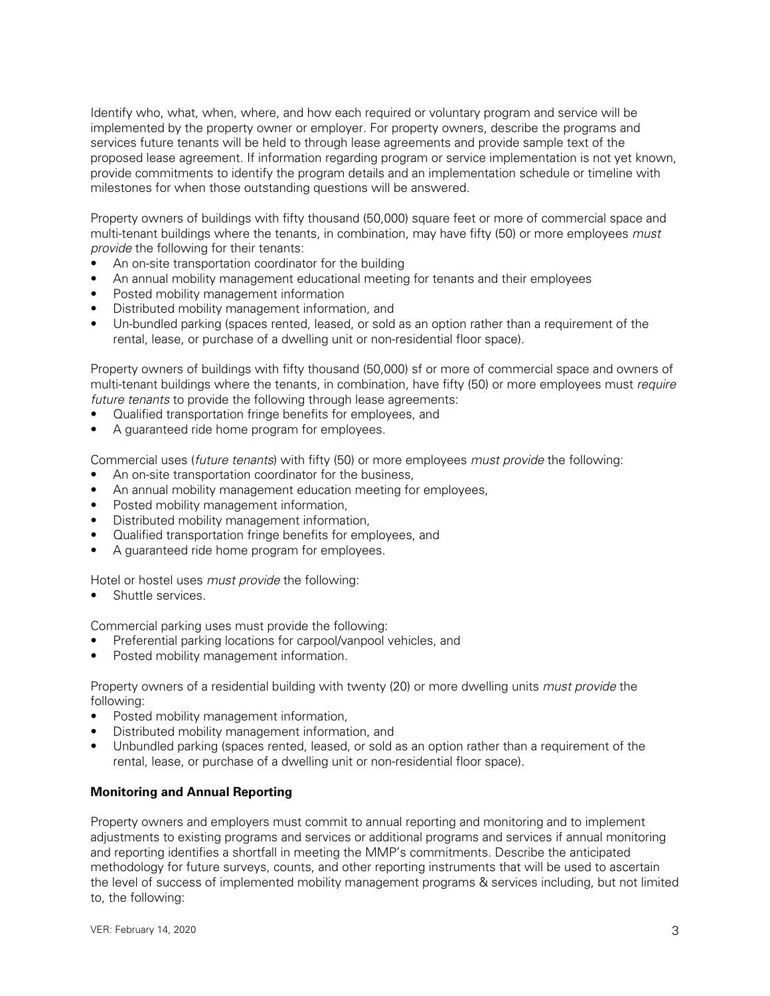Identify who, what, when, where, and how each required or voluntary program and service will be implemented by the property owner or employer. For property owners, describe the programs and services future tenants will be held to through lease agreements and provide sample text of the proposed lease agreement. If information regarding program or service implementation is not yet known, provide commitments to identify the program details and an implementation schedule or timeline with milestones for when those outstanding questions will be answered.

Property owners of buildings with fifty thousand (50,000) square feet or more of commercial space and multi-tenant buildings where the tenants, in combination, may have fifty (50) or more employees *must provide* the following for their tenants:

- An on-site transportation coordinator for the building
- An annual mobility management educational meeting for tenants and their employees
- Posted mobility management information
- Distributed mobility management information, and
- Un-bundled parking (spaces rented, leased, or sold as an option rather than a requirement of the rental, lease, or purchase of a dwelling unit or non-residential floor space).

Property owners of buildings with fifty thousand (50,000) sf or more of commercial space and owners of multi-tenant buildings where the tenants, in combination, have fifty (50) or more employees must *require future tenants* to provide the following through lease agreements:

- Qualified transportation fringe benefits for employees, and
- A guaranteed ride home program for employees.

Commercial uses (*future tenants*) with fifty (50) or more employees *must provide* the following:

- An on-site transportation coordinator for the business,
- An annual mobility management education meeting for employees,
- Posted mobility management information,
- Distributed mobility management information,
- Qualified transportation fringe benefits for employees, and
- A guaranteed ride home program for employees.

Hotel or hostel uses *must provide* the following:

Shuttle services.

Commercial parking uses must provide the following:

- Preferential parking locations for carpool/vanpool vehicles, and
- Posted mobility management information.

Property owners of a residential building with twenty (20) or more dwelling units *must provide* the following:

- Posted mobility management information,
- Distributed mobility management information, and
- Unbundled parking (spaces rented, leased, or sold as an option rather than a requirement of the rental, lease, or purchase of a dwelling unit or non-residential floor space).

#### **Monitoring and Annual Reporting**

Property owners and employers must commit to annual reporting and monitoring and to implement adjustments to existing programs and services or additional programs and services if annual monitoring and reporting identifies a shortfall in meeting the MMP's commitments. Describe the anticipated methodology for future surveys, counts, and other reporting instruments that will be used to ascertain the level of success of implemented mobility management programs & services including, but not limited to, the following: